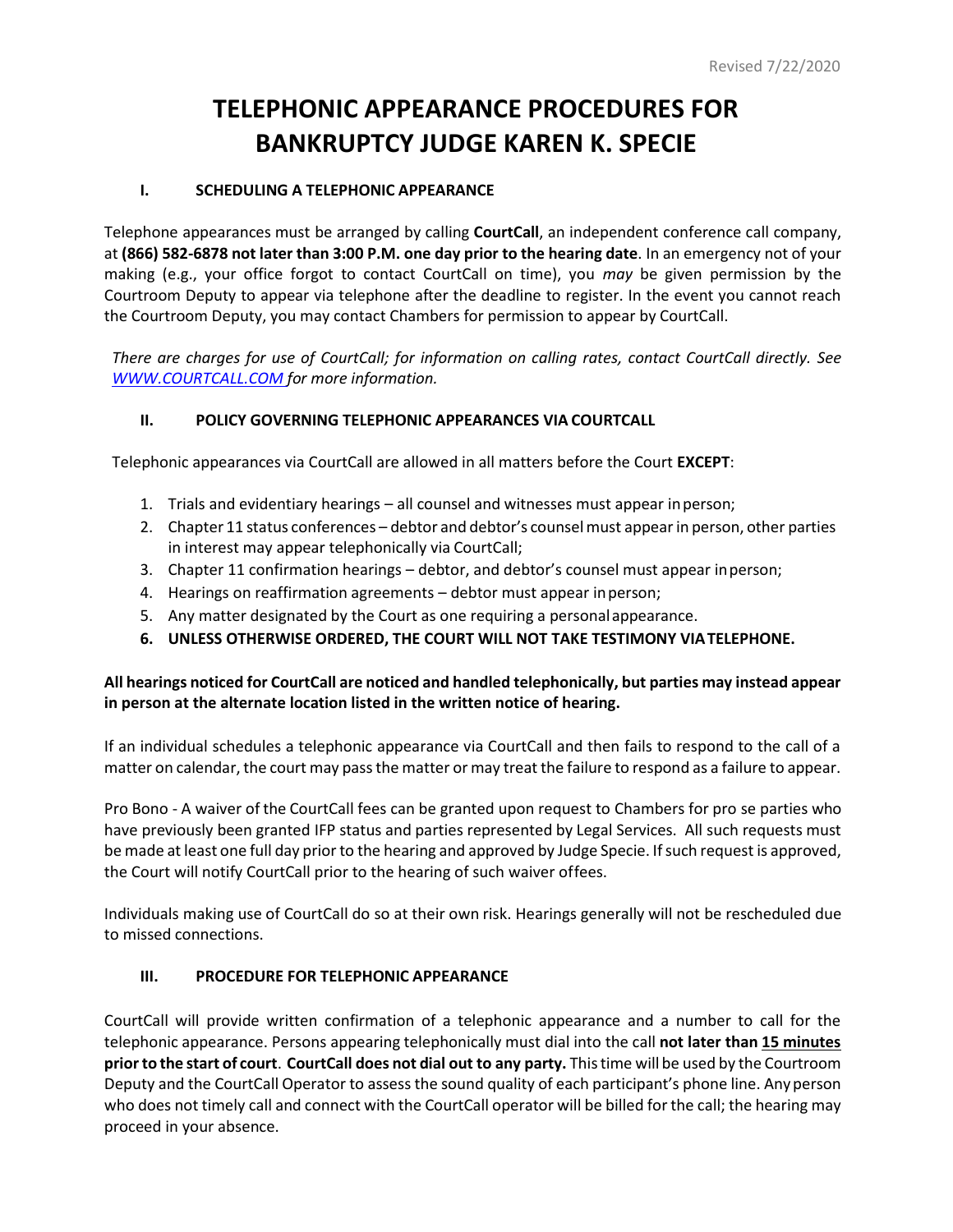# **TELEPHONIC APPEARANCE PROCEDURES FOR BANKRUPTCY JUDGE KAREN K. SPECIE**

# **I. SCHEDULING A TELEPHONIC APPEARANCE**

Telephone appearances must be arranged by calling **CourtCall**, an independent conference call company, at **(866) 582-6878 not later than 3:00 P.M. one day prior to the hearing date**. In an emergency not of your making (e.g., your office forgot to contact CourtCall on time), you *may* be given permission by the Courtroom Deputy to appear via telephone after the deadline to register. In the event you cannot reach the Courtroom Deputy, you may contact Chambers for permission to appear by CourtCall.

*There are charges for use of CourtCall; for information on calling rates, contact CourtCall directly. See WWW.COURTCALL.COM for more information.*

# **II. POLICY GOVERNING TELEPHONIC APPEARANCES VIA COURTCALL**

Telephonic appearances via CourtCall are allowed in all matters before the Court **EXCEPT**:

- 1. Trials and evidentiary hearings all counsel and witnesses must appear inperson;
- 2. Chapter 11 status conferences debtor and debtor's counselmust appearin person, other parties in interest may appear telephonically via CourtCall;
- 3. Chapter 11 confirmation hearings debtor, and debtor's counsel must appear inperson;
- 4. Hearings on reaffirmation agreements debtor must appear inperson;
- 5. Any matter designated by the Court as one requiring a personalappearance.
- **6. UNLESS OTHERWISE ORDERED, THE COURT WILL NOT TAKE TESTIMONY VIATELEPHONE.**

## **All hearings noticed for CourtCall are noticed and handled telephonically, but parties may instead appear in person at the alternate location listed in the written notice of hearing.**

If an individual schedules a telephonic appearance via CourtCall and then fails to respond to the call of a matter on calendar, the court may pass the matter or may treat the failure to respond as a failure to appear.

Pro Bono - A waiver of the CourtCall fees can be granted upon request to Chambers for pro se parties who have previously been granted IFP status and parties represented by Legal Services. All such requests must be made at least one full day prior to the hearing and approved by Judge Specie. If such request is approved, the Court will notify CourtCall prior to the hearing of such waiver offees.

Individuals making use of CourtCall do so at their own risk. Hearings generally will not be rescheduled due to missed connections.

### **III. PROCEDURE FOR TELEPHONIC APPEARANCE**

CourtCall will provide written confirmation of a telephonic appearance and a number to call for the telephonic appearance. Persons appearing telephonically must dial into the call **not later than 15 minutes priorto the start of court**. **CourtCall does not dial out to any party.** Thistime will be used by the Courtroom Deputy and the CourtCall Operator to assess the sound quality of each participant's phone line. Anyperson who does not timely call and connect with the CourtCall operator will be billed for the call; the hearing may proceed in your absence.